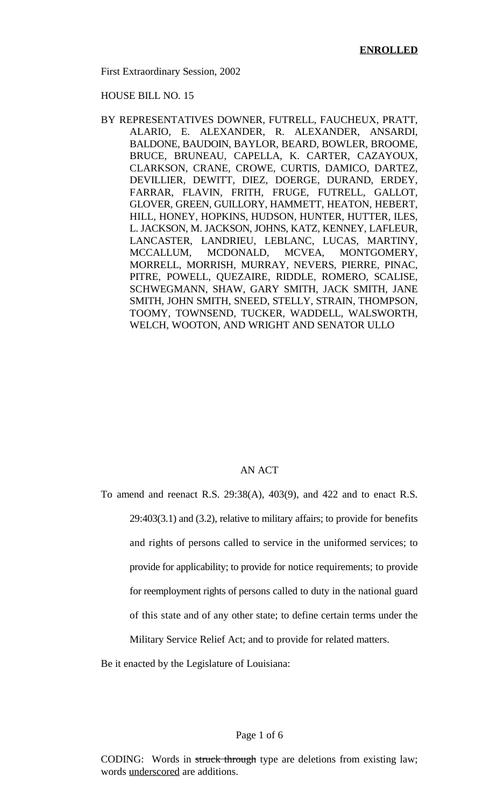First Extraordinary Session, 2002

HOUSE BILL NO. 15

BY REPRESENTATIVES DOWNER, FUTRELL, FAUCHEUX, PRATT, ALARIO, E. ALEXANDER, R. ALEXANDER, ANSARDI, BALDONE, BAUDOIN, BAYLOR, BEARD, BOWLER, BROOME, BRUCE, BRUNEAU, CAPELLA, K. CARTER, CAZAYOUX, CLARKSON, CRANE, CROWE, CURTIS, DAMICO, DARTEZ, DEVILLIER, DEWITT, DIEZ, DOERGE, DURAND, ERDEY, FARRAR, FLAVIN, FRITH, FRUGE, FUTRELL, GALLOT, GLOVER, GREEN, GUILLORY, HAMMETT, HEATON, HEBERT, HILL, HONEY, HOPKINS, HUDSON, HUNTER, HUTTER, ILES, L. JACKSON, M. JACKSON, JOHNS, KATZ, KENNEY, LAFLEUR, LANCASTER, LANDRIEU, LEBLANC, LUCAS, MARTINY, MCCALLUM, MCDONALD, MCVEA, MONTGOMERY, MORRELL, MORRISH, MURRAY, NEVERS, PIERRE, PINAC, PITRE, POWELL, QUEZAIRE, RIDDLE, ROMERO, SCALISE, SCHWEGMANN, SHAW, GARY SMITH, JACK SMITH, JANE SMITH, JOHN SMITH, SNEED, STELLY, STRAIN, THOMPSON, TOOMY, TOWNSEND, TUCKER, WADDELL, WALSWORTH, WELCH, WOOTON, AND WRIGHT AND SENATOR ULLO

#### AN ACT

To amend and reenact R.S. 29:38(A), 403(9), and 422 and to enact R.S. 29:403(3.1) and (3.2), relative to military affairs; to provide for benefits and rights of persons called to service in the uniformed services; to provide for applicability; to provide for notice requirements; to provide for reemployment rights of persons called to duty in the national guard of this state and of any other state; to define certain terms under the Military Service Relief Act; and to provide for related matters.

Be it enacted by the Legislature of Louisiana:

### Page 1 of 6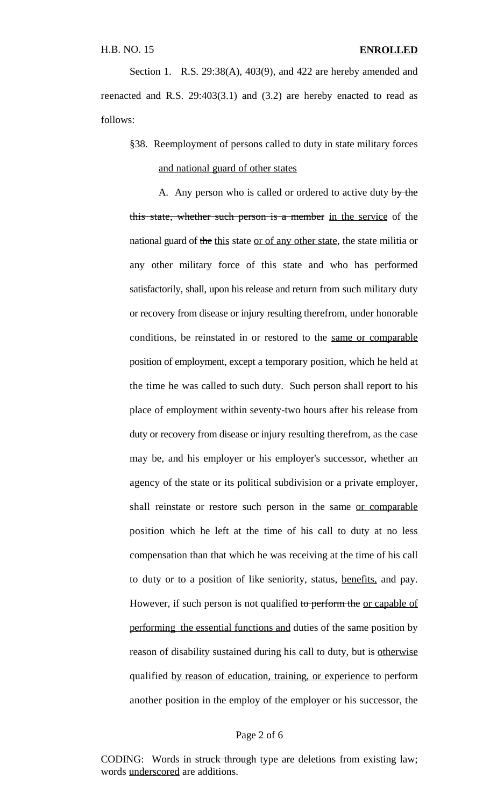Section 1. R.S. 29:38(A), 403(9), and 422 are hereby amended and reenacted and R.S. 29:403(3.1) and (3.2) are hereby enacted to read as follows:

# §38. Reemployment of persons called to duty in state military forces and national guard of other states

A. Any person who is called or ordered to active duty by the this state, whether such person is a member in the service of the national guard of the this state or of any other state, the state militia or any other military force of this state and who has performed satisfactorily, shall, upon his release and return from such military duty or recovery from disease or injury resulting therefrom, under honorable conditions, be reinstated in or restored to the same or comparable position of employment, except a temporary position, which he held at the time he was called to such duty. Such person shall report to his place of employment within seventy-two hours after his release from duty or recovery from disease or injury resulting therefrom, as the case may be, and his employer or his employer's successor, whether an agency of the state or its political subdivision or a private employer, shall reinstate or restore such person in the same or comparable position which he left at the time of his call to duty at no less compensation than that which he was receiving at the time of his call to duty or to a position of like seniority, status, benefits, and pay. However, if such person is not qualified to perform the <u>or capable of</u> performing the essential functions and duties of the same position by reason of disability sustained during his call to duty, but is otherwise qualified by reason of education, training, or experience to perform another position in the employ of the employer or his successor, the

#### Page 2 of 6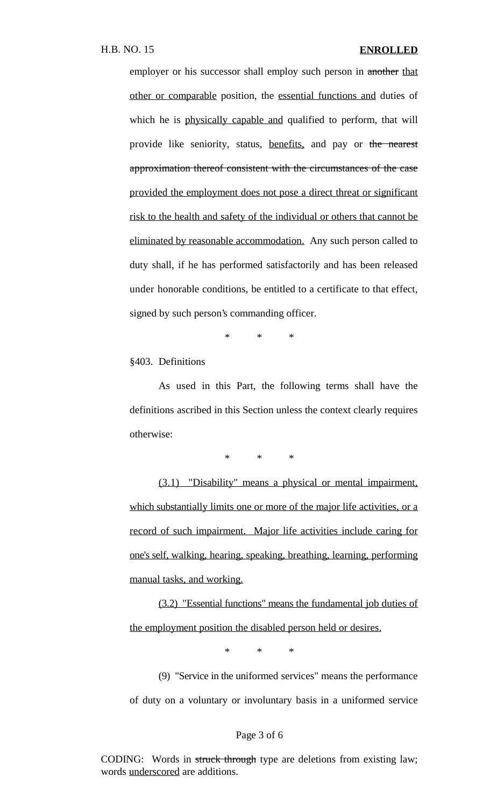employer or his successor shall employ such person in another that other or comparable position, the essential functions and duties of which he is physically capable and qualified to perform, that will provide like seniority, status, benefits, and pay or the nearest approximation thereof consistent with the circumstances of the case provided the employment does not pose a direct threat or significant risk to the health and safety of the individual or others that cannot be eliminated by reasonable accommodation. Any such person called to duty shall, if he has performed satisfactorily and has been released under honorable conditions, be entitled to a certificate to that effect, signed by such person's commanding officer.

\* \* \*

§403. Definitions

As used in this Part, the following terms shall have the definitions ascribed in this Section unless the context clearly requires otherwise:

\* \* \*

(3.1) "Disability" means a physical or mental impairment, which substantially limits one or more of the major life activities, or a record of such impairment. Major life activities include caring for one's self, walking, hearing, speaking, breathing, learning, performing manual tasks, and working.

(3.2) "Essential functions" means the fundamental job duties of the employment position the disabled person held or desires.

\* \* \*

(9) "Service in the uniformed services" means the performance of duty on a voluntary or involuntary basis in a uniformed service

#### Page 3 of 6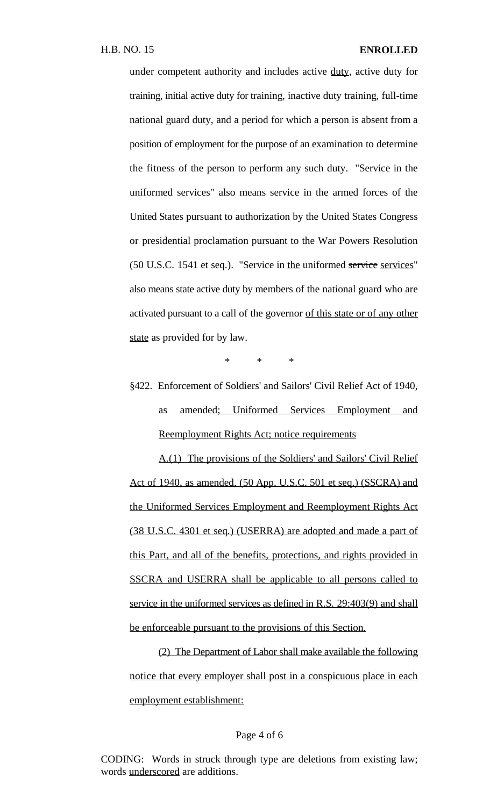under competent authority and includes active duty, active duty for training, initial active duty for training, inactive duty training, full-time national guard duty, and a period for which a person is absent from a position of employment for the purpose of an examination to determine the fitness of the person to perform any such duty. "Service in the uniformed services" also means service in the armed forces of the United States pursuant to authorization by the United States Congress or presidential proclamation pursuant to the War Powers Resolution (50 U.S.C. 1541 et seq.). "Service in the uniformed service services" also means state active duty by members of the national guard who are activated pursuant to a call of the governor of this state or of any other state as provided for by law.

\* \* \*

§422. Enforcement of Soldiers' and Sailors' Civil Relief Act of 1940, as amended; Uniformed Services Employment and Reemployment Rights Act; notice requirements

A.(1) The provisions of the Soldiers' and Sailors' Civil Relief Act of 1940, as amended, (50 App. U.S.C. 501 et seq.) (SSCRA) and the Uniformed Services Employment and Reemployment Rights Act (38 U.S.C. 4301 et seq.) (USERRA) are adopted and made a part of this Part, and all of the benefits, protections, and rights provided in SSCRA and USERRA shall be applicable to all persons called to service in the uniformed services as defined in R.S. 29:403(9) and shall be enforceable pursuant to the provisions of this Section.

(2) The Department of Labor shall make available the following notice that every employer shall post in a conspicuous place in each employment establishment:

Page 4 of 6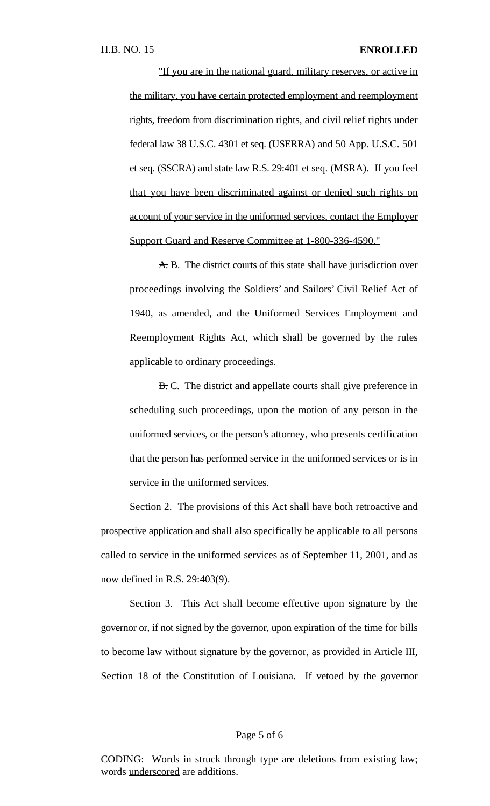"If you are in the national guard, military reserves, or active in the military, you have certain protected employment and reemployment rights, freedom from discrimination rights, and civil relief rights under federal law 38 U.S.C. 4301 et seq. (USERRA) and 50 App. U.S.C. 501 et seq. (SSCRA) and state law R.S. 29:401 et seq. (MSRA). If you feel that you have been discriminated against or denied such rights on account of your service in the uniformed services, contact the Employer Support Guard and Reserve Committee at 1-800-336-4590."

A. B. The district courts of this state shall have jurisdiction over proceedings involving the Soldiers' and Sailors' Civil Relief Act of 1940, as amended, and the Uniformed Services Employment and Reemployment Rights Act, which shall be governed by the rules applicable to ordinary proceedings.

B. C. The district and appellate courts shall give preference in scheduling such proceedings, upon the motion of any person in the uniformed services, or the person's attorney, who presents certification that the person has performed service in the uniformed services or is in service in the uniformed services.

Section 2. The provisions of this Act shall have both retroactive and prospective application and shall also specifically be applicable to all persons called to service in the uniformed services as of September 11, 2001, and as now defined in R.S. 29:403(9).

Section 3. This Act shall become effective upon signature by the governor or, if not signed by the governor, upon expiration of the time for bills to become law without signature by the governor, as provided in Article III, Section 18 of the Constitution of Louisiana. If vetoed by the governor

#### Page 5 of 6